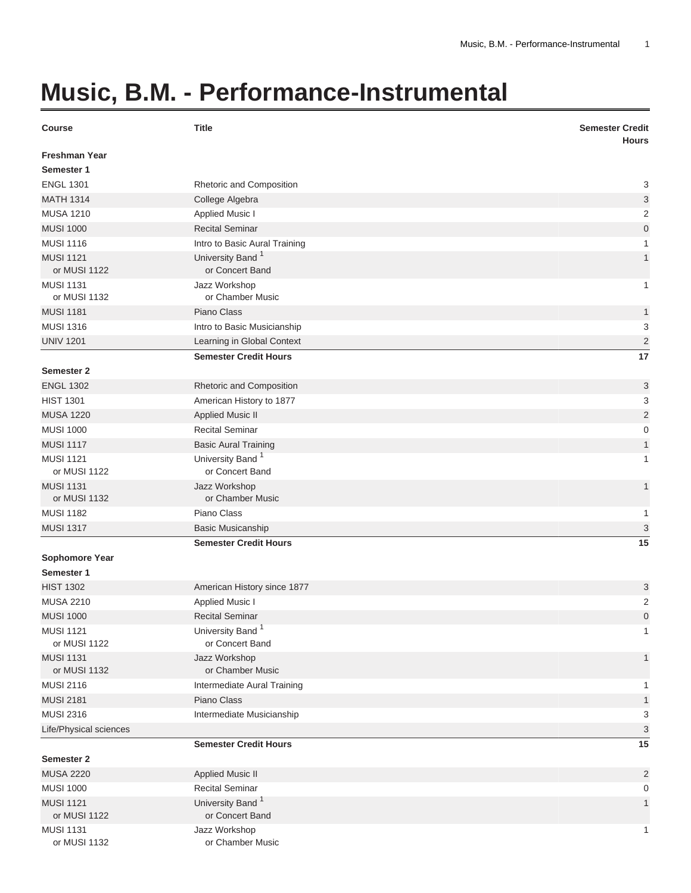## **Music, B.M. - Performance-Instrumental**

| <b>Course</b>                    | <b>Title</b>                                    | <b>Semester Credit</b><br><b>Hours</b> |
|----------------------------------|-------------------------------------------------|----------------------------------------|
| <b>Freshman Year</b>             |                                                 |                                        |
| Semester 1                       |                                                 |                                        |
| <b>ENGL 1301</b>                 | Rhetoric and Composition                        | 3                                      |
| <b>MATH 1314</b>                 | College Algebra                                 | 3                                      |
| <b>MUSA 1210</b>                 | Applied Music I                                 | $\overline{c}$                         |
| <b>MUSI 1000</b>                 | <b>Recital Seminar</b>                          | $\mathbf 0$                            |
| <b>MUSI 1116</b>                 | Intro to Basic Aural Training                   | 1                                      |
| <b>MUSI 1121</b><br>or MUSI 1122 | University Band <sup>1</sup><br>or Concert Band | 1                                      |
| <b>MUSI 1131</b><br>or MUSI 1132 | Jazz Workshop<br>or Chamber Music               | 1                                      |
| <b>MUSI 1181</b>                 | Piano Class                                     | 1                                      |
| <b>MUSI 1316</b>                 | Intro to Basic Musicianship                     | 3                                      |
| <b>UNIV 1201</b>                 | Learning in Global Context                      | $\overline{2}$                         |
|                                  | <b>Semester Credit Hours</b>                    | 17                                     |
| Semester 2                       |                                                 |                                        |
| <b>ENGL 1302</b>                 | Rhetoric and Composition                        | 3                                      |
| <b>HIST 1301</b>                 | American History to 1877                        | 3                                      |
| <b>MUSA 1220</b>                 | <b>Applied Music II</b>                         | $\overline{c}$                         |
| <b>MUSI 1000</b>                 | <b>Recital Seminar</b>                          | $\mathbf 0$                            |
| <b>MUSI 1117</b>                 | <b>Basic Aural Training</b>                     | $\mathbf{1}$                           |
| <b>MUSI 1121</b><br>or MUSI 1122 | University Band <sup>1</sup><br>or Concert Band | 1                                      |
| <b>MUSI 1131</b><br>or MUSI 1132 | Jazz Workshop<br>or Chamber Music               | 1                                      |
| <b>MUSI 1182</b>                 | Piano Class                                     | 1                                      |
| <b>MUSI 1317</b>                 | <b>Basic Musicanship</b>                        | 3                                      |
|                                  | <b>Semester Credit Hours</b>                    | 15                                     |
| <b>Sophomore Year</b>            |                                                 |                                        |
| Semester 1                       |                                                 |                                        |
| <b>HIST 1302</b>                 | American History since 1877                     | 3                                      |
| <b>MUSA 2210</b>                 | <b>Applied Music I</b>                          | 2                                      |
| <b>MUSI 1000</b>                 | <b>Recital Seminar</b>                          | $\overline{0}$                         |
| <b>MUSI 1121</b>                 | University Band <sup>1</sup>                    | 1                                      |
| or MUSI 1122                     | or Concert Band                                 |                                        |
| <b>MUSI 1131</b>                 | Jazz Workshop                                   | 1                                      |
| or MUSI 1132                     | or Chamber Music                                |                                        |
| <b>MUSI 2116</b>                 | Intermediate Aural Training                     |                                        |
| <b>MUSI 2181</b>                 | Piano Class                                     | 1                                      |
| <b>MUSI 2316</b>                 | Intermediate Musicianship                       | 3                                      |
| Life/Physical sciences           |                                                 | 3                                      |
| Semester 2                       | <b>Semester Credit Hours</b>                    | 15                                     |
| <b>MUSA 2220</b>                 | <b>Applied Music II</b>                         | $\overline{2}$                         |
| <b>MUSI 1000</b>                 | <b>Recital Seminar</b>                          | 0                                      |
| <b>MUSI 1121</b><br>or MUSI 1122 | University Band <sup>1</sup><br>or Concert Band | 1                                      |
| <b>MUSI 1131</b><br>or MUSI 1132 | Jazz Workshop<br>or Chamber Music               | 1                                      |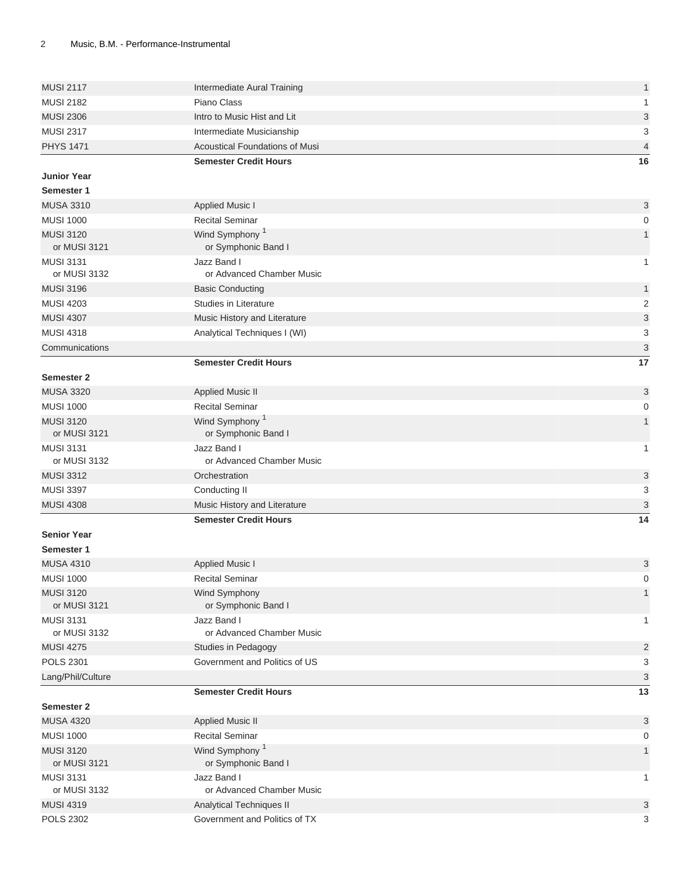| <b>MUSI 2117</b>                     |                                                           |                                |
|--------------------------------------|-----------------------------------------------------------|--------------------------------|
|                                      | Intermediate Aural Training                               | $\mathbf{1}$                   |
| <b>MUSI 2182</b>                     | Piano Class                                               | $\mathbf{1}$                   |
| <b>MUSI 2306</b>                     | Intro to Music Hist and Lit                               | $\ensuremath{\mathsf{3}}$      |
| <b>MUSI 2317</b>                     | Intermediate Musicianship                                 | $\ensuremath{\mathsf{3}}$      |
| <b>PHYS 1471</b>                     | <b>Acoustical Foundations of Musi</b>                     | $\overline{4}$                 |
|                                      | <b>Semester Credit Hours</b>                              | 16                             |
| <b>Junior Year</b>                   |                                                           |                                |
| Semester 1                           |                                                           |                                |
| <b>MUSA 3310</b>                     | Applied Music I                                           | 3                              |
| <b>MUSI 1000</b>                     | <b>Recital Seminar</b>                                    | 0                              |
| <b>MUSI 3120</b>                     | Wind Symphony <sup>1</sup>                                | $\mathbf{1}$                   |
| or MUSI 3121                         | or Symphonic Band I                                       |                                |
| <b>MUSI 3131</b>                     | Jazz Band I                                               | $\mathbf{1}$                   |
| or MUSI 3132                         | or Advanced Chamber Music                                 |                                |
| <b>MUSI 3196</b>                     | <b>Basic Conducting</b>                                   | $\mathbf{1}$                   |
| <b>MUSI 4203</b>                     | Studies in Literature                                     | $\sqrt{2}$                     |
| <b>MUSI 4307</b>                     | Music History and Literature                              | $\ensuremath{\mathsf{3}}$      |
| <b>MUSI 4318</b>                     | Analytical Techniques I (WI)                              | 3                              |
| Communications                       |                                                           | $\ensuremath{\mathsf{3}}$      |
|                                      | <b>Semester Credit Hours</b>                              | 17                             |
| Semester 2                           |                                                           |                                |
| <b>MUSA 3320</b>                     | <b>Applied Music II</b>                                   | $\ensuremath{\mathsf{3}}$      |
| <b>MUSI 1000</b>                     | <b>Recital Seminar</b>                                    | 0                              |
| <b>MUSI 3120</b>                     | Wind Symphony <sup>1</sup>                                | $\mathbf{1}$                   |
| or MUSI 3121                         | or Symphonic Band I                                       |                                |
| <b>MUSI 3131</b>                     | Jazz Band I                                               | $\mathbf{1}$                   |
| or MUSI 3132                         | or Advanced Chamber Music                                 |                                |
| <b>MUSI 3312</b><br><b>MUSI 3397</b> | Orchestration                                             | $\ensuremath{\mathsf{3}}$<br>3 |
|                                      | Conducting II                                             |                                |
|                                      |                                                           |                                |
| <b>MUSI 4308</b>                     | Music History and Literature                              | $\mathbf{3}$                   |
|                                      | <b>Semester Credit Hours</b>                              | 14                             |
| <b>Senior Year</b>                   |                                                           |                                |
| Semester 1                           |                                                           |                                |
| <b>MUSA 4310</b>                     | <b>Applied Music I</b>                                    | 3                              |
| <b>MUSI 1000</b>                     | <b>Recital Seminar</b>                                    | $\mathbf 0$                    |
| <b>MUSI 3120</b>                     | Wind Symphony                                             | $\mathbf{1}$                   |
| or MUSI 3121                         | or Symphonic Band I                                       |                                |
| <b>MUSI 3131</b><br>or MUSI 3132     | Jazz Band I<br>or Advanced Chamber Music                  | $\mathbf{1}$                   |
| <b>MUSI 4275</b>                     |                                                           |                                |
| <b>POLS 2301</b>                     | Studies in Pedagogy<br>Government and Politics of US      | $\overline{c}$                 |
|                                      |                                                           | 3                              |
| Lang/Phil/Culture                    | <b>Semester Credit Hours</b>                              | $\sqrt{3}$<br>13               |
| <b>Semester 2</b>                    |                                                           |                                |
| <b>MUSA 4320</b>                     |                                                           | 3                              |
| <b>MUSI 1000</b>                     | <b>Applied Music II</b><br><b>Recital Seminar</b>         | 0                              |
| <b>MUSI 3120</b>                     | Wind Symphony <sup>1</sup>                                | $\mathbf{1}$                   |
| or MUSI 3121                         | or Symphonic Band I                                       |                                |
| <b>MUSI 3131</b>                     | Jazz Band I                                               | $\mathbf{1}$                   |
| or MUSI 3132                         | or Advanced Chamber Music                                 |                                |
| <b>MUSI 4319</b><br><b>POLS 2302</b> | Analytical Techniques II<br>Government and Politics of TX | $\sqrt{3}$                     |